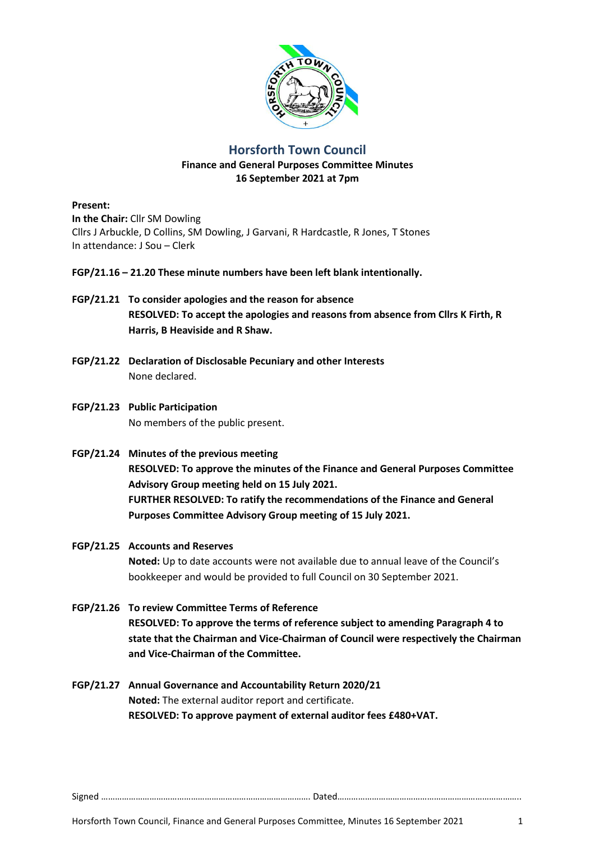

# **Horsforth Town Council**

## **Finance and General Purposes Committee Minutes 16 September 2021 at 7pm**

**Present:**

**In the Chair:** Cllr SM Dowling Cllrs J Arbuckle, D Collins, SM Dowling, J Garvani, R Hardcastle, R Jones, T Stones In attendance: J Sou – Clerk

### **FGP/21.16 – 21.20 These minute numbers have been left blank intentionally.**

- **FGP/21.21 To consider apologies and the reason for absence RESOLVED: To accept the apologies and reasons from absence from Cllrs K Firth, R Harris, B Heaviside and R Shaw.**
- **FGP/21.22 Declaration of Disclosable Pecuniary and other Interests** None declared.
- **FGP/21.23 Public Participation** No members of the public present.
- **FGP/21.24 Minutes of the previous meeting RESOLVED: To approve the minutes of the Finance and General Purposes Committee Advisory Group meeting held on 15 July 2021. FURTHER RESOLVED: To ratify the recommendations of the Finance and General Purposes Committee Advisory Group meeting of 15 July 2021.**
- **FGP/21.25 Accounts and Reserves Noted:** Up to date accounts were not available due to annual leave of the Council's bookkeeper and would be provided to full Council on 30 September 2021.
- **FGP/21.26 To review Committee Terms of Reference RESOLVED: To approve the terms of reference subject to amending Paragraph 4 to state that the Chairman and Vice-Chairman of Council were respectively the Chairman and Vice-Chairman of the Committee.**
- **FGP/21.27 Annual Governance and Accountability Return 2020/21 Noted:** The external auditor report and certificate. **RESOLVED: To approve payment of external auditor fees £480+VAT.**

Signed ………………………………………………………………………………. Dated……………………………………………………………………..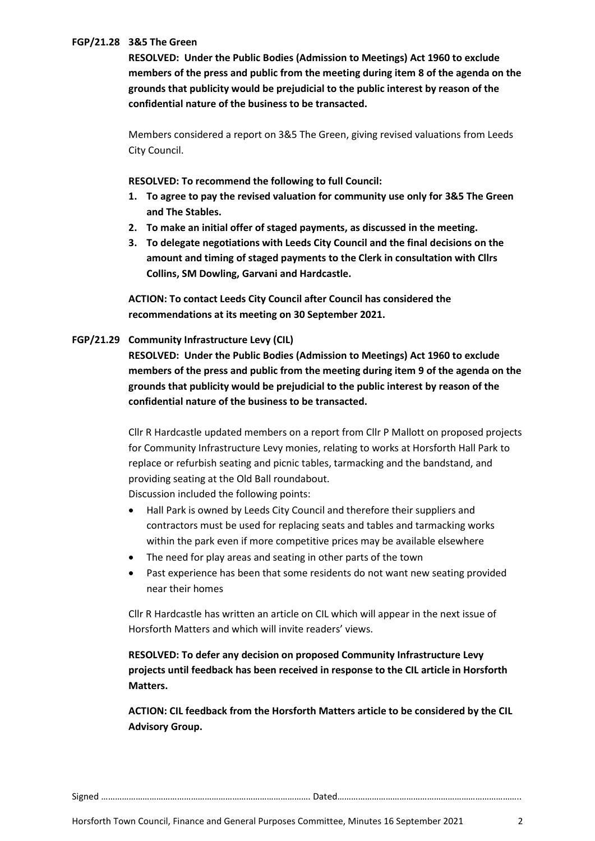### **FGP/21.28 3&5 The Green**

**RESOLVED: Under the Public Bodies (Admission to Meetings) Act 1960 to exclude members of the press and public from the meeting during item 8 of the agenda on the grounds that publicity would be prejudicial to the public interest by reason of the confidential nature of the business to be transacted.**

Members considered a report on 3&5 The Green, giving revised valuations from Leeds City Council.

**RESOLVED: To recommend the following to full Council:**

- **1. To agree to pay the revised valuation for community use only for 3&5 The Green and The Stables.**
- **2. To make an initial offer of staged payments, as discussed in the meeting.**
- **3. To delegate negotiations with Leeds City Council and the final decisions on the amount and timing of staged payments to the Clerk in consultation with Cllrs Collins, SM Dowling, Garvani and Hardcastle.**

**ACTION: To contact Leeds City Council after Council has considered the recommendations at its meeting on 30 September 2021.**

#### **FGP/21.29 Community Infrastructure Levy (CIL)**

**RESOLVED: Under the Public Bodies (Admission to Meetings) Act 1960 to exclude members of the press and public from the meeting during item 9 of the agenda on the grounds that publicity would be prejudicial to the public interest by reason of the confidential nature of the business to be transacted.**

Cllr R Hardcastle updated members on a report from Cllr P Mallott on proposed projects for Community Infrastructure Levy monies, relating to works at Horsforth Hall Park to replace or refurbish seating and picnic tables, tarmacking and the bandstand, and providing seating at the Old Ball roundabout.

Discussion included the following points:

- Hall Park is owned by Leeds City Council and therefore their suppliers and contractors must be used for replacing seats and tables and tarmacking works within the park even if more competitive prices may be available elsewhere
- The need for play areas and seating in other parts of the town
- Past experience has been that some residents do not want new seating provided near their homes

Cllr R Hardcastle has written an article on CIL which will appear in the next issue of Horsforth Matters and which will invite readers' views.

**RESOLVED: To defer any decision on proposed Community Infrastructure Levy projects until feedback has been received in response to the CIL article in Horsforth Matters.**

**ACTION: CIL feedback from the Horsforth Matters article to be considered by the CIL Advisory Group.**

Signed ………………………………………………………………………………. Dated……………………………………………………………………..